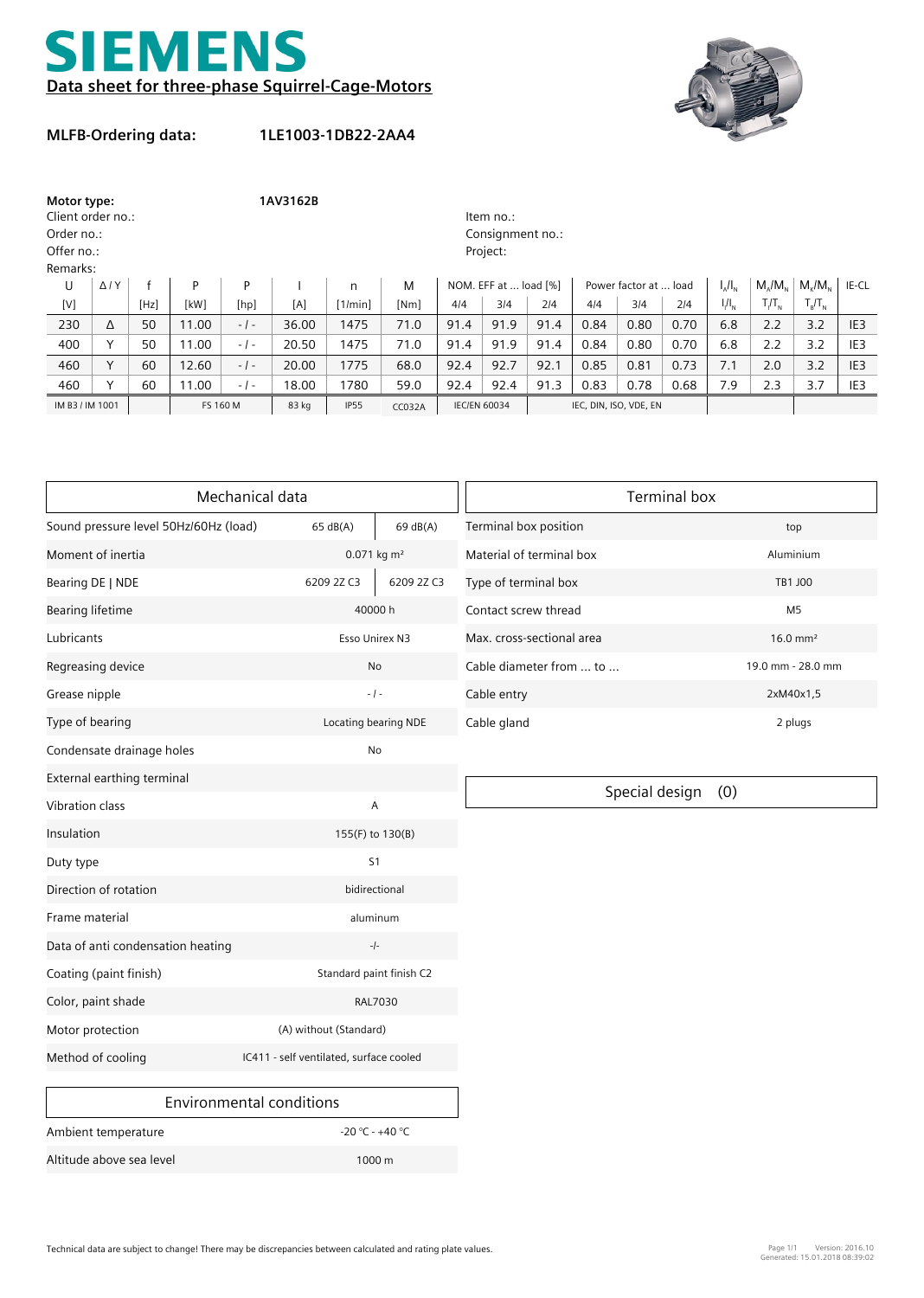



## **MLFB-Ordering data:**

**1LE1003-1DB22-2AA4**

| Motor type:       |                |      | 1AV3162B |                  |       |              |               |                       |      |                        |      |      |               |               |                              |           |                 |
|-------------------|----------------|------|----------|------------------|-------|--------------|---------------|-----------------------|------|------------------------|------|------|---------------|---------------|------------------------------|-----------|-----------------|
| Client order no.: |                |      |          |                  |       |              |               | Item no.:             |      |                        |      |      |               |               |                              |           |                 |
| Order no.:        |                |      |          | Consignment no.: |       |              |               |                       |      |                        |      |      |               |               |                              |           |                 |
| Offer no.:        |                |      |          | Project:         |       |              |               |                       |      |                        |      |      |               |               |                              |           |                 |
| Remarks:          |                |      |          |                  |       |              |               |                       |      |                        |      |      |               |               |                              |           |                 |
| U                 | $\Delta$ / $Y$ |      | P        | P                |       | $\mathsf{n}$ | M             | NOM. EFF at  load [%] |      | Power factor at  load  |      |      | $I_{A}/I_{N}$ | $M/M_{\odot}$ | $M_{\nu}/M_{\nu}$            | IE-CL     |                 |
| [V]               |                | [Hz] | [kW]     | [hp]             | [A]   | [1/min]      | [Nm]          | 4/4                   | 3/4  | 214                    | 4/4  | 3/4  | 2/4           | $I/I_{N}$     | $T/T_{\scriptscriptstyle N}$ | $T_R/T_N$ |                 |
| 230               | Δ              | 50   | 11.00    | $-1-$            | 36.00 | 1475         | 71.0          | 91.4                  | 91.9 | 91.4                   | 0.84 | 0.80 | 0.70          | 6.8           | 2.2                          | 3.2       | IE <sub>3</sub> |
| 400               |                | 50   | 11.00    | $-1-$            | 20.50 | 1475         | 71.0          | 91.4                  | 91.9 | 91.4                   | 0.84 | 0.80 | 0.70          | 6.8           | 2.2                          | 3.2       | IE <sub>3</sub> |
| 460               | $\vee$         | 60   | 12.60    | $-1-$            | 20.00 | 1775         | 68.0          | 92.4                  | 92.7 | 92.1                   | 0.85 | 0.81 | 0.73          | 7.1           | 2.0                          | 3.2       | IE <sub>3</sub> |
| 460               | $\checkmark$   | 60   | 11.00    | $-1-$            | 18.00 | 1780         | 59.0          | 92.4                  | 92.4 | 91.3                   | 0.83 | 0.78 | 0.68          | 7.9           | 2.3                          | 3.7       | IE3             |
| IM B3 / IM 1001   |                |      | FS 160 M |                  | 83 kg | <b>IP55</b>  | <b>CC032A</b> | <b>IEC/EN 60034</b>   |      | IEC, DIN, ISO, VDE, EN |      |      |               |               |                              |           |                 |

|                                       | Mechanical data                         | <b>Terminal box</b> |                           |                     |  |  |  |
|---------------------------------------|-----------------------------------------|---------------------|---------------------------|---------------------|--|--|--|
| Sound pressure level 50Hz/60Hz (load) | 65 dB(A)                                | 69 dB(A)            | Terminal box position     | top                 |  |  |  |
| Moment of inertia                     | 0.071 kg m <sup>2</sup>                 |                     | Material of terminal box  | Aluminium           |  |  |  |
| Bearing DE   NDE                      | 6209 2Z C3                              | 6209 2Z C3          | Type of terminal box      | TB1 J00             |  |  |  |
| <b>Bearing lifetime</b>               | 40000h                                  |                     | Contact screw thread      | M <sub>5</sub>      |  |  |  |
| Lubricants                            | Esso Unirex N3                          |                     | Max. cross-sectional area | $16.0 \text{ mm}^2$ |  |  |  |
| Regreasing device                     | <b>No</b>                               |                     | Cable diameter from  to   | 19.0 mm - 28.0 mm   |  |  |  |
| Grease nipple                         | $-1-$                                   |                     | Cable entry               | 2xM40x1,5           |  |  |  |
| Type of bearing                       | Locating bearing NDE                    |                     | Cable gland               | 2 plugs             |  |  |  |
| Condensate drainage holes             | No                                      |                     |                           |                     |  |  |  |
| External earthing terminal            |                                         |                     |                           |                     |  |  |  |
| <b>Vibration class</b>                | Α                                       |                     | Special design            | (0)                 |  |  |  |
| Insulation                            | 155(F) to 130(B)                        |                     |                           |                     |  |  |  |
| Duty type                             | S <sub>1</sub>                          |                     |                           |                     |  |  |  |
| Direction of rotation                 | bidirectional                           |                     |                           |                     |  |  |  |
| Frame material                        | aluminum                                |                     |                           |                     |  |  |  |
| Data of anti condensation heating     | $-/-$                                   |                     |                           |                     |  |  |  |
| Coating (paint finish)                | Standard paint finish C2                |                     |                           |                     |  |  |  |
| Color, paint shade                    |                                         | <b>RAL7030</b>      |                           |                     |  |  |  |
| Motor protection                      | (A) without (Standard)                  |                     |                           |                     |  |  |  |
| Method of cooling                     | IC411 - self ventilated, surface cooled |                     |                           |                     |  |  |  |
|                                       | <b>Environmental conditions</b>         |                     |                           |                     |  |  |  |
| Ambient temperature                   | $-20 °C - +40 °C$                       |                     |                           |                     |  |  |  |

Altitude above sea level 1000 m

 $\overline{\phantom{0}}$